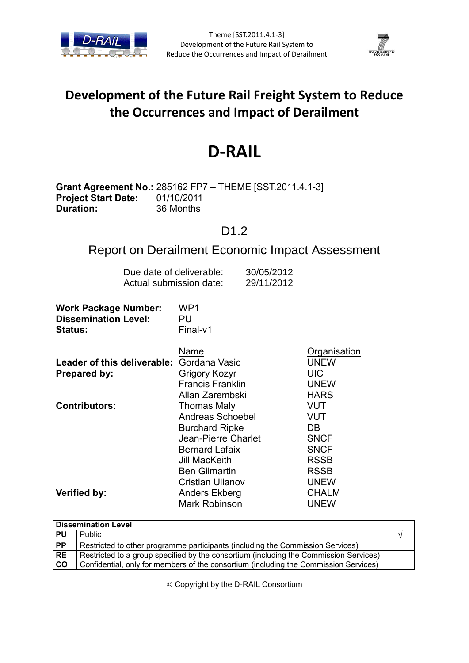



# **Development of the Future Rail Freight System to Reduce the Occurrences and Impact of Derailment**

# **D-RAIL**

### **Grant Agreement No.:** 285162 FP7 – THEME [SST.2011.4.1-3] **Project Start Date:** 01/10/2011 **Duration:** 36 Months

### D1.2

## Report on Derailment Economic Impact Assessment

| Due date of deliverable: | 30/05/2012 |
|--------------------------|------------|
| Actual submission date:  | 29/11/2012 |

| <b>Work Package Number:</b><br><b>Dissemination Level:</b> | WP1<br>PU               |              |
|------------------------------------------------------------|-------------------------|--------------|
| <b>Status:</b>                                             | Final-v1                |              |
|                                                            | Name                    | Organisation |
| <b>Leader of this deliverable: Gordana Vasic</b>           |                         | <b>UNEW</b>  |
| Prepared by:                                               | Grigory Kozyr           | <b>UIC</b>   |
|                                                            | <b>Francis Franklin</b> | <b>UNEW</b>  |
|                                                            | Allan Zarembski         | <b>HARS</b>  |
| <b>Contributors:</b>                                       | Thomas Maly             | VUT          |
|                                                            | Andreas Schoebel        | VUT          |
|                                                            | <b>Burchard Ripke</b>   | DB.          |
|                                                            | Jean-Pierre Charlet     | <b>SNCF</b>  |
|                                                            | <b>Bernard Lafaix</b>   | <b>SNCF</b>  |
|                                                            | Jill MacKeith           | <b>RSSB</b>  |
|                                                            | <b>Ben Gilmartin</b>    | <b>RSSB</b>  |
|                                                            | Cristian Ulianov        | <b>UNEW</b>  |
| Verified by:                                               | <b>Anders Ekberg</b>    | <b>CHALM</b> |
|                                                            | <b>Mark Robinson</b>    | <b>UNEW</b>  |

|                 | <b>Dissemination Level</b>                                                            |  |
|-----------------|---------------------------------------------------------------------------------------|--|
| l PU            | <b>Public</b>                                                                         |  |
| $\overline{PP}$ | Restricted to other programme participants (including the Commission Services)        |  |
| <b>RE</b>       | Restricted to a group specified by the consortium (including the Commission Services) |  |
| $\overline{c}$  | Confidential, only for members of the consortium (including the Commission Services)  |  |

Copyright by the D-RAIL Consortium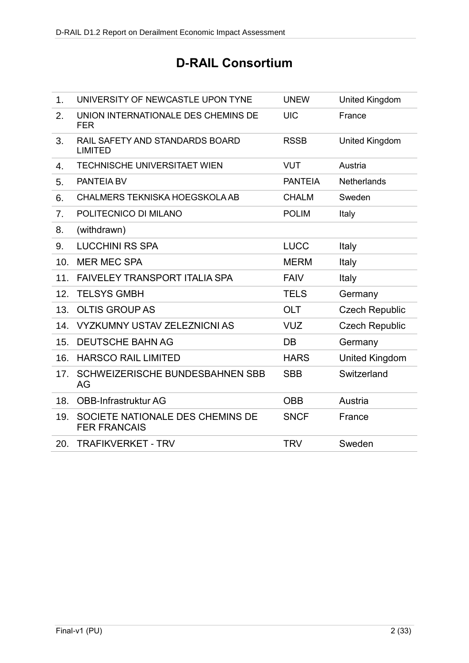# **D-RAIL Consortium**

| 1.  | UNIVERSITY OF NEWCASTLE UPON TYNE                       | <b>UNEW</b>    | United Kingdom        |
|-----|---------------------------------------------------------|----------------|-----------------------|
| 2.  | UNION INTERNATIONALE DES CHEMINS DE<br><b>FER</b>       | <b>UIC</b>     | France                |
| 3.  | RAIL SAFETY AND STANDARDS BOARD<br><b>LIMITED</b>       | <b>RSSB</b>    | <b>United Kingdom</b> |
| 4.  | <b>TECHNISCHE UNIVERSITAET WIEN</b>                     | <b>VUT</b>     | Austria               |
| 5.  | PANTEIA BV                                              | <b>PANTEIA</b> | <b>Netherlands</b>    |
| 6.  | CHALMERS TEKNISKA HOEGSKOLA AB                          | <b>CHALM</b>   | Sweden                |
| 7.  | POLITECNICO DI MILANO                                   | <b>POLIM</b>   | Italy                 |
| 8.  | (withdrawn)                                             |                |                       |
| 9.  | <b>LUCCHINI RS SPA</b>                                  | <b>LUCC</b>    | Italy                 |
| 10. | <b>MER MEC SPA</b>                                      | <b>MERM</b>    | Italy                 |
| 11. | <b>FAIVELEY TRANSPORT ITALIA SPA</b>                    | <b>FAIV</b>    | Italy                 |
| 12. | <b>TELSYS GMBH</b>                                      | <b>TELS</b>    | Germany               |
| 13. | <b>OLTIS GROUP AS</b>                                   | <b>OLT</b>     | <b>Czech Republic</b> |
| 14. | <b>VYZKUMNY USTAV ZELEZNICNI AS</b>                     | <b>VUZ</b>     | <b>Czech Republic</b> |
| 15. | <b>DEUTSCHE BAHN AG</b>                                 | DB             | Germany               |
| 16. | <b>HARSCO RAIL LIMITED</b>                              | <b>HARS</b>    | <b>United Kingdom</b> |
| 17. | SCHWEIZERISCHE BUNDESBAHNEN SBB<br>AG                   | <b>SBB</b>     | Switzerland           |
| 18. | <b>OBB-Infrastruktur AG</b>                             | <b>OBB</b>     | Austria               |
| 19. | SOCIETE NATIONALE DES CHEMINS DE<br><b>FER FRANCAIS</b> | <b>SNCF</b>    | France                |
| 20. | <b>TRAFIKVERKET - TRV</b>                               | <b>TRV</b>     | Sweden                |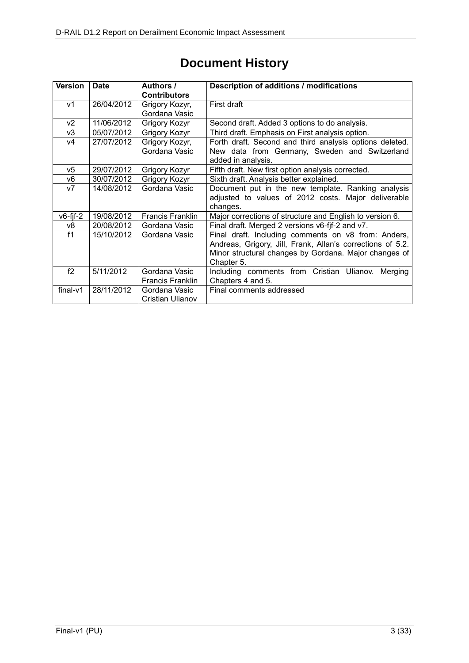| <b>Version</b> | <b>Date</b> | Authors /               | Description of additions / modifications                   |  |  |
|----------------|-------------|-------------------------|------------------------------------------------------------|--|--|
|                |             | <b>Contributors</b>     |                                                            |  |  |
| v1             | 26/04/2012  | Grigory Kozyr,          | First draft                                                |  |  |
|                |             | Gordana Vasic           |                                                            |  |  |
| v <sub>2</sub> | 11/06/2012  | Grigory Kozyr           | Second draft. Added 3 options to do analysis.              |  |  |
| v3             | 05/07/2012  | Grigory Kozyr           | Third draft. Emphasis on First analysis option.            |  |  |
| ν4             | 27/07/2012  | Grigory Kozyr,          | Forth draft. Second and third analysis options deleted.    |  |  |
|                |             | Gordana Vasic           | New data from Germany, Sweden and Switzerland              |  |  |
|                |             |                         | added in analysis.                                         |  |  |
| v5             | 29/07/2012  | Grigory Kozyr           | Fifth draft. New first option analysis corrected.          |  |  |
| v6             | 30/07/2012  | Grigory Kozyr           | Sixth draft. Analysis better explained.                    |  |  |
| V <sub>7</sub> | 14/08/2012  | Gordana Vasic           | Document put in the new template. Ranking analysis         |  |  |
|                |             |                         | adjusted to values of 2012 costs. Major deliverable        |  |  |
|                |             |                         | changes.                                                   |  |  |
| $v6$ -fjf-2    | 19/08/2012  | <b>Francis Franklin</b> | Major corrections of structure and English to version 6.   |  |  |
| v8             | 20/08/2012  | Gordana Vasic           | Final draft. Merged 2 versions v6-fjf-2 and v7.            |  |  |
| f1             | 15/10/2012  | Gordana Vasic           | Final draft. Including comments on v8 from: Anders,        |  |  |
|                |             |                         | Andreas, Grigory, Jill, Frank, Allan's corrections of 5.2. |  |  |
|                |             |                         | Minor structural changes by Gordana. Major changes of      |  |  |
|                |             |                         | Chapter 5.                                                 |  |  |
| f2             | 5/11/2012   | Gordana Vasic           | Including comments from Cristian Ulianov.<br>Merging       |  |  |
|                |             | Francis Franklin        | Chapters 4 and 5.                                          |  |  |
| $final-v1$     | 28/11/2012  | Gordana Vasic           | Final comments addressed                                   |  |  |
|                |             | Cristian Ulianov        |                                                            |  |  |

# **Document History**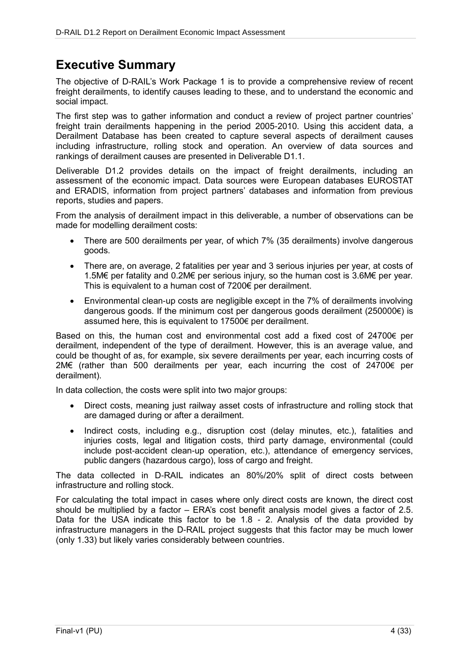## **Executive Summary**

The objective of D-RAIL's Work Package 1 is to provide a comprehensive review of recent freight derailments, to identify causes leading to these, and to understand the economic and social impact.

The first step was to gather information and conduct a review of project partner countries' freight train derailments happening in the period 2005-2010. Using this accident data, a Derailment Database has been created to capture several aspects of derailment causes including infrastructure, rolling stock and operation. An overview of data sources and rankings of derailment causes are presented in Deliverable D1.1.

Deliverable D1.2 provides details on the impact of freight derailments, including an assessment of the economic impact. Data sources were European databases EUROSTAT and ERADIS, information from project partners' databases and information from previous reports, studies and papers.

From the analysis of derailment impact in this deliverable, a number of observations can be made for modelling derailment costs:

- There are 500 derailments per year, of which 7% (35 derailments) involve dangerous goods.
- There are, on average, 2 fatalities per year and 3 serious injuries per year, at costs of 1.5M€ per fatality and 0.2M€ per serious injury, so the human cost is 3.6M€ per year. This is equivalent to a human cost of 7200€ per derailment.
- Environmental clean-up costs are negligible except in the 7% of derailments involving dangerous goods. If the minimum cost per dangerous goods derailment (250000 $\varepsilon$ ) is assumed here, this is equivalent to 17500€ per derailment.

Based on this, the human cost and environmental cost add a fixed cost of 24700€ per derailment, independent of the type of derailment. However, this is an average value, and could be thought of as, for example, six severe derailments per year, each incurring costs of 2M€ (rather than 500 derailments per year, each incurring the cost of 24700€ per derailment).

In data collection, the costs were split into two major groups:

- Direct costs, meaning just railway asset costs of infrastructure and rolling stock that are damaged during or after a derailment.
- Indirect costs, including e.g., disruption cost (delay minutes, etc.), fatalities and injuries costs, legal and litigation costs, third party damage, environmental (could include post-accident clean-up operation, etc.), attendance of emergency services, public dangers (hazardous cargo), loss of cargo and freight.

The data collected in D-RAIL indicates an 80%/20% split of direct costs between infrastructure and rolling stock.

For calculating the total impact in cases where only direct costs are known, the direct cost should be multiplied by a factor – ERA's cost benefit analysis model gives a factor of 2.5. Data for the USA indicate this factor to be 1.8 - 2. Analysis of the data provided by infrastructure managers in the D-RAIL project suggests that this factor may be much lower (only 1.33) but likely varies considerably between countries.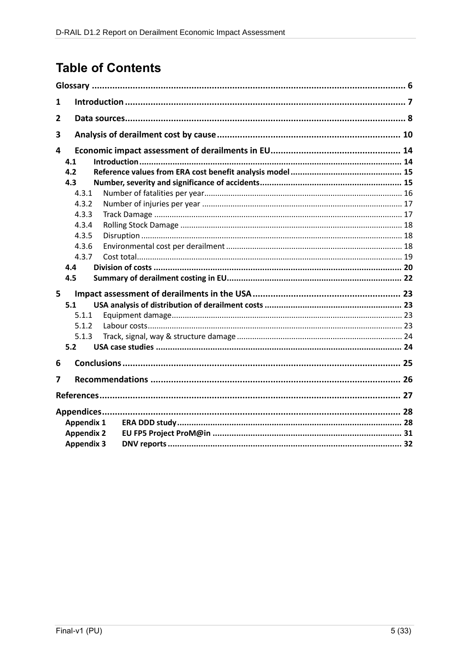# **Table of Contents**

| 1 |                                                                                                |  |  |
|---|------------------------------------------------------------------------------------------------|--|--|
| 2 |                                                                                                |  |  |
| 3 |                                                                                                |  |  |
| 4 | 4.1<br>4.2<br>4.3<br>4.3.1<br>4.3.2<br>4.3.3<br>4.3.4<br>4.3.5<br>4.3.6<br>4.3.7<br>4.4<br>4.5 |  |  |
| 5 | 5.1<br>5.1.1<br>5.1.2<br>5.1.3<br>5.2                                                          |  |  |
| 6 |                                                                                                |  |  |
| 7 |                                                                                                |  |  |
|   |                                                                                                |  |  |
|   | <b>Appendix 1</b><br><b>Appendix 2</b><br><b>Appendix 3</b>                                    |  |  |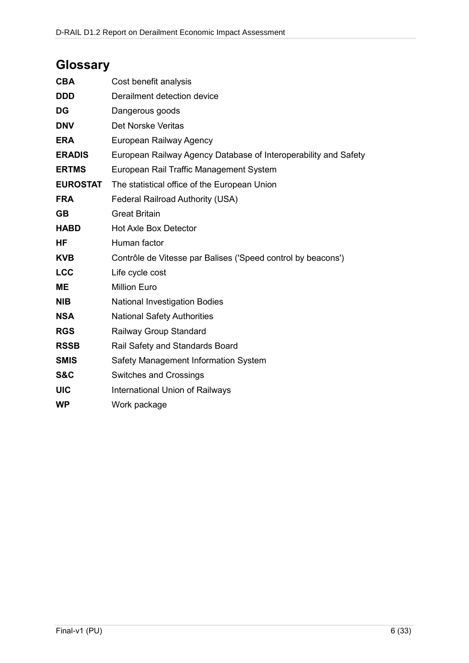# **Glossary**

| <b>CBA</b>      | Cost benefit analysis                                           |
|-----------------|-----------------------------------------------------------------|
| <b>DDD</b>      | Derailment detection device                                     |
| <b>DG</b>       | Dangerous goods                                                 |
| <b>DNV</b>      | Det Norske Veritas                                              |
| <b>ERA</b>      | European Railway Agency                                         |
| <b>ERADIS</b>   | European Railway Agency Database of Interoperability and Safety |
| <b>ERTMS</b>    | European Rail Traffic Management System                         |
| <b>EUROSTAT</b> | The statistical office of the European Union                    |
| <b>FRA</b>      | Federal Railroad Authority (USA)                                |
| <b>GB</b>       | <b>Great Britain</b>                                            |
| <b>HABD</b>     | <b>Hot Axle Box Detector</b>                                    |
| <b>HF</b>       | Human factor                                                    |
| <b>KVB</b>      | Contrôle de Vitesse par Balises ('Speed control by beacons')    |
| <b>LCC</b>      | Life cycle cost                                                 |
| <b>ME</b>       | <b>Million Euro</b>                                             |
| <b>NIB</b>      | <b>National Investigation Bodies</b>                            |
| <b>NSA</b>      | <b>National Safety Authorities</b>                              |
| <b>RGS</b>      | Railway Group Standard                                          |
| <b>RSSB</b>     | Rail Safety and Standards Board                                 |
| <b>SMIS</b>     | Safety Management Information System                            |
| <b>S&amp;C</b>  | Switches and Crossings                                          |
| <b>UIC</b>      | International Union of Railways                                 |
| <b>WP</b>       | Work package                                                    |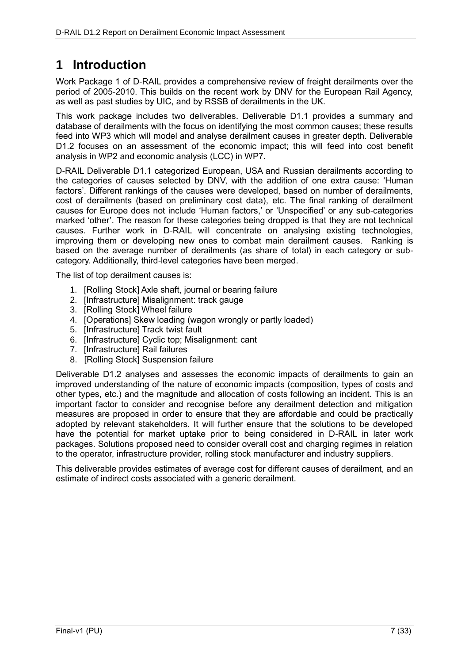# **1 Introduction**

Work Package 1 of D-RAIL provides a comprehensive review of freight derailments over the period of 2005-2010. This builds on the recent work by DNV for the European Rail Agency, as well as past studies by UIC, and by RSSB of derailments in the UK.

This work package includes two deliverables. Deliverable D1.1 provides a summary and database of derailments with the focus on identifying the most common causes; these results feed into WP3 which will model and analyse derailment causes in greater depth. Deliverable D1.2 focuses on an assessment of the economic impact; this will feed into cost benefit analysis in WP2 and economic analysis (LCC) in WP7.

D-RAIL Deliverable D1.1 categorized European, USA and Russian derailments according to the categories of causes selected by DNV, with the addition of one extra cause: 'Human factors'. Different rankings of the causes were developed, based on number of derailments, cost of derailments (based on preliminary cost data), etc. The final ranking of derailment causes for Europe does not include 'Human factors,' or 'Unspecified' or any sub-categories marked 'other'. The reason for these categories being dropped is that they are not technical causes. Further work in D-RAIL will concentrate on analysing existing technologies, improving them or developing new ones to combat main derailment causes. Ranking is based on the average number of derailments (as share of total) in each category or subcategory. Additionally, third-level categories have been merged.

The list of top derailment causes is:

- 1. [Rolling Stock] Axle shaft, journal or bearing failure
- 2. [Infrastructure] Misalignment: track gauge
- 3. [Rolling Stock] Wheel failure
- 4. [Operations] Skew loading (wagon wrongly or partly loaded)
- 5. [Infrastructure] Track twist fault
- 6. [Infrastructure] Cyclic top; Misalignment: cant
- 7. [Infrastructure] Rail failures
- 8. [Rolling Stock] Suspension failure

Deliverable D1.2 analyses and assesses the economic impacts of derailments to gain an improved understanding of the nature of economic impacts (composition, types of costs and other types, etc.) and the magnitude and allocation of costs following an incident. This is an important factor to consider and recognise before any derailment detection and mitigation measures are proposed in order to ensure that they are affordable and could be practically adopted by relevant stakeholders. It will further ensure that the solutions to be developed have the potential for market uptake prior to being considered in D-RAIL in later work packages. Solutions proposed need to consider overall cost and charging regimes in relation to the operator, infrastructure provider, rolling stock manufacturer and industry suppliers.

This deliverable provides estimates of average cost for different causes of derailment, and an estimate of indirect costs associated with a generic derailment.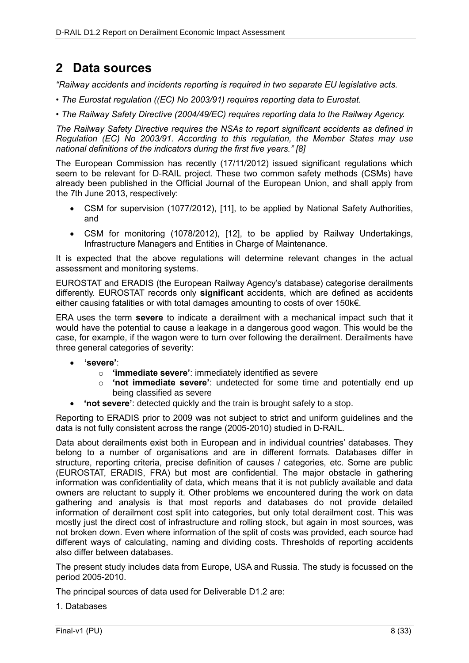## **2 Data sources**

*"Railway accidents and incidents reporting is required in two separate EU legislative acts.*

- *The Eurostat regulation ((EC) No 2003/91) requires reporting data to Eurostat.*
- *The Railway Safety Directive (2004/49/EC) requires reporting data to the Railway Agency.*

*The Railway Safety Directive requires the NSAs to report significant accidents as defined in Regulation (EC) No 2003/91. According to this regulation, the Member States may use national definitions of the indicators during the first five years." [8]*

The European Commission has recently (17/11/2012) issued significant regulations which seem to be relevant for D-RAIL project. These two common safety methods (CSMs) have already been published in the Official Journal of the European Union, and shall apply from the 7th June 2013, respectively:

- CSM for supervision (1077/2012), [11], to be applied by National Safety Authorities, and
- CSM for monitoring (1078/2012), [12], to be applied by Railway Undertakings, Infrastructure Managers and Entities in Charge of Maintenance.

It is expected that the above regulations will determine relevant changes in the actual assessment and monitoring systems.

EUROSTAT and ERADIS (the European Railway Agency's database) categorise derailments differently. EUROSTAT records only **significant** accidents, which are defined as accidents either causing fatalities or with total damages amounting to costs of over 150k€.

ERA uses the term **severe** to indicate a derailment with a mechanical impact such that it would have the potential to cause a leakage in a dangerous good wagon. This would be the case, for example, if the wagon were to turn over following the derailment. Derailments have three general categories of severity:

- **'severe'**:
	- o **'immediate severe'**: immediately identified as severe
	- o **'not immediate severe'**: undetected for some time and potentially end up being classified as severe
- **'not severe'**: detected quickly and the train is brought safely to a stop.

Reporting to ERADIS prior to 2009 was not subject to strict and uniform guidelines and the data is not fully consistent across the range (2005-2010) studied in D-RAIL.

Data about derailments exist both in European and in individual countries' databases. They belong to a number of organisations and are in different formats. Databases differ in structure, reporting criteria, precise definition of causes / categories, etc. Some are public (EUROSTAT, ERADIS, FRA) but most are confidential. The major obstacle in gathering information was confidentiality of data, which means that it is not publicly available and data owners are reluctant to supply it. Other problems we encountered during the work on data gathering and analysis is that most reports and databases do not provide detailed information of derailment cost split into categories, but only total derailment cost. This was mostly just the direct cost of infrastructure and rolling stock, but again in most sources, was not broken down. Even where information of the split of costs was provided, each source had different ways of calculating, naming and dividing costs. Thresholds of reporting accidents also differ between databases.

The present study includes data from Europe, USA and Russia. The study is focussed on the period 2005-2010.

The principal sources of data used for Deliverable D1.2 are:

1. Databases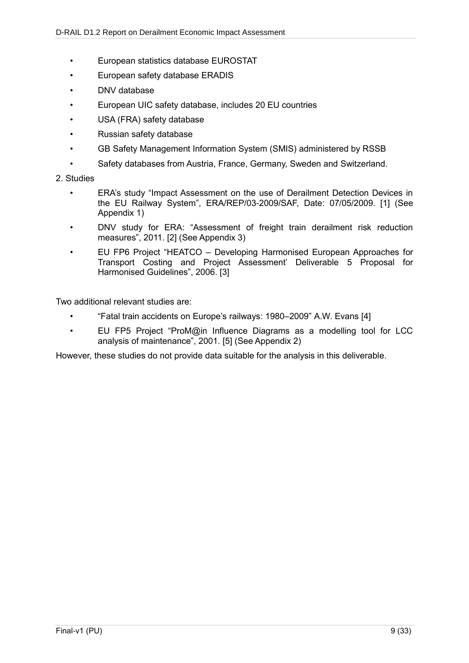- European statistics database EUROSTAT
- European safety database ERADIS
- DNV database
- European UIC safety database, includes 20 EU countries
- USA (FRA) safety database
- Russian safety database
- GB Safety Management Information System (SMIS) administered by RSSB
- Safety databases from Austria, France, Germany, Sweden and Switzerland.

#### 2. Studies

- ERA's study "Impact Assessment on the use of Derailment Detection Devices in the EU Railway System", ERA/REP/03-2009/SAF, Date: 07/05/2009. [1] (See Appendix 1)
- DNV study for ERA: "Assessment of freight train derailment risk reduction measures", 2011. [2] (See Appendix 3)
- EU FP6 Project "HEATCO Developing Harmonised European Approaches for Transport Costing and Project Assessment' Deliverable 5 Proposal for Harmonised Guidelines", 2006. [3]

Two additional relevant studies are:

- "Fatal train accidents on Europe's railways: 1980–2009" A.W. Evans [4]
- EU FP5 Project "ProM@in Influence Diagrams as a modelling tool for LCC analysis of maintenance", 2001. [5] (See Appendix 2)

However, these studies do not provide data suitable for the analysis in this deliverable.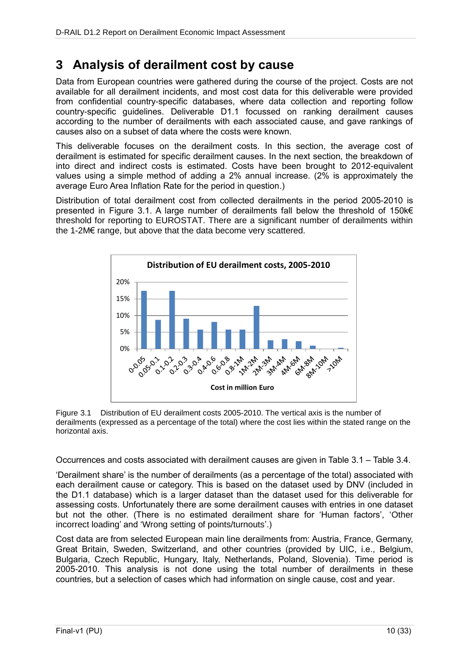## **3 Analysis of derailment cost by cause**

Data from European countries were gathered during the course of the project. Costs are not available for all derailment incidents, and most cost data for this deliverable were provided from confidential country-specific databases, where data collection and reporting follow country-specific guidelines. Deliverable D1.1 focussed on ranking derailment causes according to the number of derailments with each associated cause, and gave rankings of causes also on a subset of data where the costs were known.

This deliverable focuses on the derailment costs. In this section, the average cost of derailment is estimated for specific derailment causes. In the next section, the breakdown of into direct and indirect costs is estimated. Costs have been brought to 2012-equivalent values using a simple method of adding a 2% annual increase. (2% is approximately the average Euro Area Inflation Rate for the period in question.)

Distribution of total derailment cost from collected derailments in the period 2005-2010 is presented in [Figure 3.1.](#page-9-0) A large number of derailments fall below the threshold of 150k€ threshold for reporting to EUROSTAT. There are a significant number of derailments within the 1-2M€ range, but above that the data become very scattered.



<span id="page-9-0"></span>Figure 3.1 Distribution of EU derailment costs 2005-2010. The vertical axis is the number of derailments (expressed as a percentage of the total) where the cost lies within the stated range on the horizontal axis.

Occurrences and costs associated with derailment causes are given in [Table 3.1](#page-10-0) – [Table 3.4.](#page-11-0)

'Derailment share' is the number of derailments (as a percentage of the total) associated with each derailment cause or category. This is based on the dataset used by DNV (included in the D1.1 database) which is a larger dataset than the dataset used for this deliverable for assessing costs. Unfortunately there are some derailment causes with entries in one dataset but not the other. (There is no estimated derailment share for 'Human factors', 'Other incorrect loading' and 'Wrong setting of points/turnouts'.)

Cost data are from selected European main line derailments from: Austria, France, Germany, Great Britain, Sweden, Switzerland, and other countries (provided by UIC, i.e., Belgium, Bulgaria, Czech Republic, Hungary, Italy, Netherlands, Poland, Slovenia). Time period is 2005-2010. This analysis is not done using the total number of derailments in these countries, but a selection of cases which had information on single cause, cost and year.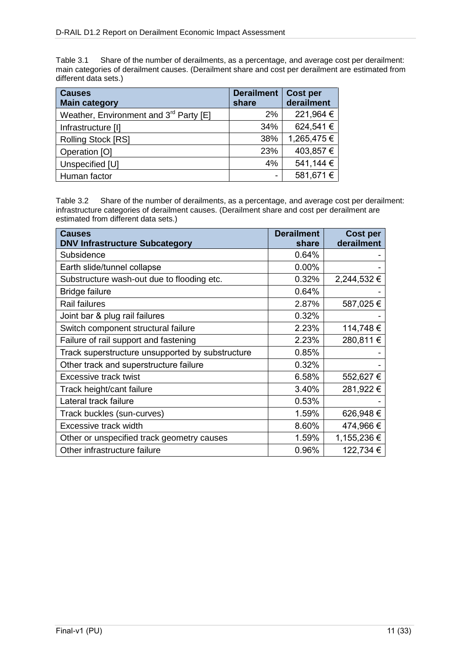<span id="page-10-0"></span>Table 3.1 Share of the number of derailments, as a percentage, and average cost per derailment: main categories of derailment causes. (Derailment share and cost per derailment are estimated from different data sets.)

| <b>Causes</b><br><b>Main category</b>              | <b>Derailment</b><br>share | <b>Cost per</b><br>derailment |
|----------------------------------------------------|----------------------------|-------------------------------|
| Weather, Environment and 3 <sup>rd</sup> Party [E] | $2\%$                      | 221,964 €                     |
| Infrastructure [I]                                 | 34%                        | 624,541€                      |
| Rolling Stock [RS]                                 | 38%                        | 1,265,475€                    |
| Operation [O]                                      | 23%                        | 403,857€                      |
| Unspecified [U]                                    | 4%                         | 541,144 €                     |
| Human factor                                       | -                          | 581,671€                      |

Table 3.2 Share of the number of derailments, as a percentage, and average cost per derailment: infrastructure categories of derailment causes. (Derailment share and cost per derailment are estimated from different data sets.)

| <b>Causes</b><br><b>DNV Infrastructure Subcategory</b> | <b>Derailment</b><br>share | <b>Cost per</b><br>derailment |
|--------------------------------------------------------|----------------------------|-------------------------------|
| Subsidence                                             | 0.64%                      |                               |
| Earth slide/tunnel collapse                            | $0.00\%$                   |                               |
| Substructure wash-out due to flooding etc.             | 0.32%                      | 2,244,532 €                   |
| <b>Bridge failure</b>                                  | 0.64%                      |                               |
| <b>Rail failures</b>                                   | 2.87%                      | 587,025€                      |
| Joint bar & plug rail failures                         | 0.32%                      |                               |
| Switch component structural failure                    | 2.23%                      | 114,748€                      |
| Failure of rail support and fastening                  | 2.23%                      | 280,811€                      |
| Track superstructure unsupported by substructure       | 0.85%                      |                               |
| Other track and superstructure failure                 | 0.32%                      |                               |
| Excessive track twist                                  | 6.58%                      | 552,627 €                     |
| Track height/cant failure                              | 3.40%                      | 281,922 €                     |
| Lateral track failure                                  | 0.53%                      |                               |
| Track buckles (sun-curves)                             | 1.59%                      | 626,948€                      |
| Excessive track width                                  | 8.60%                      | 474,966 €                     |
| Other or unspecified track geometry causes             | 1.59%                      | 1,155,236 €                   |
| Other infrastructure failure                           | 0.96%                      | 122,734 €                     |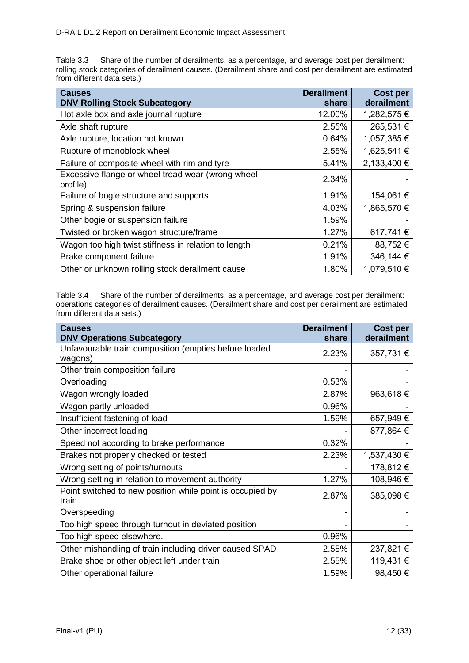Table 3.3 Share of the number of derailments, as a percentage, and average cost per derailment: rolling stock categories of derailment causes. (Derailment share and cost per derailment are estimated from different data sets.)

| <b>Causes</b><br><b>DNV Rolling Stock Subcategory</b>         | <b>Derailment</b><br>share | <b>Cost per</b><br>derailment |
|---------------------------------------------------------------|----------------------------|-------------------------------|
| Hot axle box and axle journal rupture                         | 12.00%                     | 1,282,575€                    |
| Axle shaft rupture                                            | 2.55%                      | 265,531€                      |
| Axle rupture, location not known                              | 0.64%                      | 1,057,385€                    |
| Rupture of monoblock wheel                                    | 2.55%                      | 1,625,541 €                   |
| Failure of composite wheel with rim and tyre                  | 5.41%                      | 2,133,400 €                   |
| Excessive flange or wheel tread wear (wrong wheel<br>profile) | 2.34%                      |                               |
| Failure of bogie structure and supports                       | 1.91%                      | 154,061€                      |
| Spring & suspension failure                                   | 4.03%                      | 1,865,570€                    |
| Other bogie or suspension failure                             | 1.59%                      |                               |
| Twisted or broken wagon structure/frame                       | 1.27%                      | 617,741€                      |
| Wagon too high twist stiffness in relation to length          | 0.21%                      | 88,752€                       |
| Brake component failure                                       | 1.91%                      | 346,144 €                     |
| Other or unknown rolling stock derailment cause               | 1.80%                      | 1,079,510€                    |

<span id="page-11-0"></span>Table 3.4 Share of the number of derailments, as a percentage, and average cost per derailment: operations categories of derailment causes. (Derailment share and cost per derailment are estimated from different data sets.)

| <b>Causes</b><br><b>DNV Operations Subcategory</b>                 | <b>Derailment</b><br>share | <b>Cost per</b><br>derailment |
|--------------------------------------------------------------------|----------------------------|-------------------------------|
| Unfavourable train composition (empties before loaded<br>wagons)   | 2.23%                      | 357,731€                      |
| Other train composition failure                                    |                            |                               |
| Overloading                                                        | 0.53%                      |                               |
| Wagon wrongly loaded                                               | 2.87%                      | 963,618€                      |
| Wagon partly unloaded                                              | 0.96%                      |                               |
| Insufficient fastening of load                                     | 1.59%                      | 657,949€                      |
| Other incorrect loading                                            |                            | 877,864 €                     |
| Speed not according to brake performance                           | 0.32%                      |                               |
| Brakes not properly checked or tested                              | 2.23%                      | 1,537,430 €                   |
| Wrong setting of points/turnouts                                   |                            | 178,812€                      |
| Wrong setting in relation to movement authority                    | 1.27%                      | 108,946€                      |
| Point switched to new position while point is occupied by<br>train | 2.87%                      | 385,098€                      |
| Overspeeding                                                       |                            |                               |
| Too high speed through turnout in deviated position                |                            |                               |
| Too high speed elsewhere.                                          | 0.96%                      |                               |
| Other mishandling of train including driver caused SPAD            | 2.55%                      | 237,821 €                     |
| Brake shoe or other object left under train                        | 2.55%                      | 119,431€                      |
| Other operational failure                                          | 1.59%                      | 98,450€                       |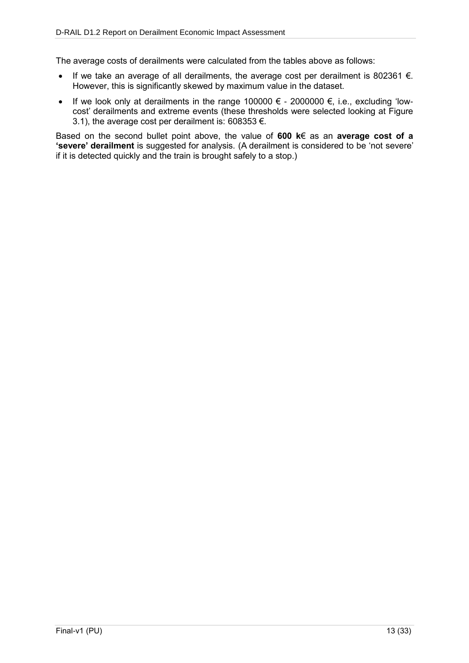The average costs of derailments were calculated from the tables above as follows:

- If we take an average of all derailments, the average cost per derailment is 802361  $\epsilon$ . However, this is significantly skewed by maximum value in the dataset.
- If we look only at derailments in the range 100000  $\epsilon$  2000000  $\epsilon$ , i.e., excluding 'lowcost' derailments and extreme events (these thresholds were selected looking at [Figure](#page-9-0)  [3.1\)](#page-9-0), the average cost per derailment is: 608353 €.

Based on the second bullet point above, the value of **600 k**€ as an **average cost of a 'severe' derailment** is suggested for analysis. (A derailment is considered to be 'not severe' if it is detected quickly and the train is brought safely to a stop.)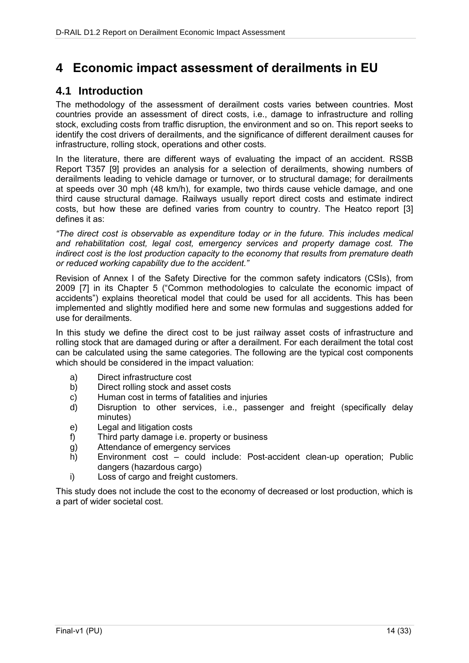## **4 Economic impact assessment of derailments in EU**

### **4.1 Introduction**

The methodology of the assessment of derailment costs varies between countries. Most countries provide an assessment of direct costs, i.e., damage to infrastructure and rolling stock, excluding costs from traffic disruption, the environment and so on. This report seeks to identify the cost drivers of derailments, and the significance of different derailment causes for infrastructure, rolling stock, operations and other costs.

In the literature, there are different ways of evaluating the impact of an accident. RSSB Report T357 [9] provides an analysis for a selection of derailments, showing numbers of derailments leading to vehicle damage or turnover, or to structural damage; for derailments at speeds over 30 mph (48 km/h), for example, two thirds cause vehicle damage, and one third cause structural damage. Railways usually report direct costs and estimate indirect costs, but how these are defined varies from country to country. The Heatco report [3] defines it as:

*"The direct cost is observable as expenditure today or in the future. This includes medical and rehabilitation cost, legal cost, emergency services and property damage cost. The indirect cost is the lost production capacity to the economy that results from premature death or reduced working capability due to the accident."*

Revision of Annex I of the Safety Directive for the common safety indicators (CSIs), from 2009 [7] in its Chapter 5 ("Common methodologies to calculate the economic impact of accidents") explains theoretical model that could be used for all accidents. This has been implemented and slightly modified here and some new formulas and suggestions added for use for derailments.

In this study we define the direct cost to be just railway asset costs of infrastructure and rolling stock that are damaged during or after a derailment. For each derailment the total cost can be calculated using the same categories. The following are the typical cost components which should be considered in the impact valuation:

- a) Direct infrastructure cost
- b) Direct rolling stock and asset costs
- c) Human cost in terms of fatalities and injuries
- d) Disruption to other services, i.e., passenger and freight (specifically delay minutes)
- e) Legal and litigation costs
- f) Third party damage i.e. property or business
- g) Attendance of emergency services
- h) Environment cost could include: Post-accident clean-up operation; Public dangers (hazardous cargo)
- i) Loss of cargo and freight customers.

This study does not include the cost to the economy of decreased or lost production, which is a part of wider societal cost.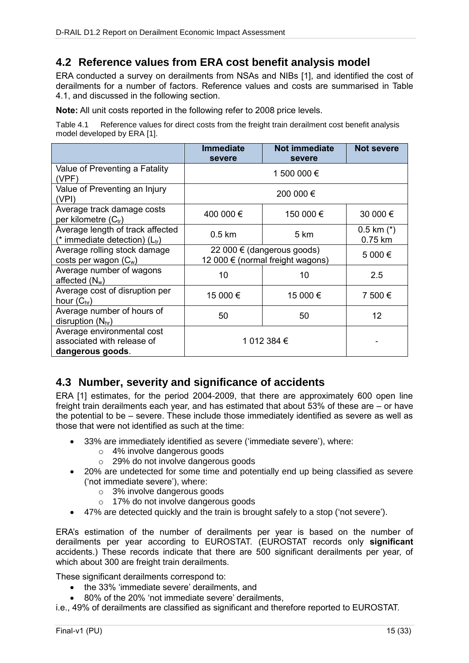### **4.2 Reference values from ERA cost benefit analysis model**

ERA conducted a survey on derailments from NSAs and NIBs [1], and identified the cost of derailments for a number of factors. Reference values and costs are summarised in [Table](#page-14-0)  [4.1,](#page-14-0) and discussed in the following section.

**Note:** All unit costs reported in the following refer to 2008 price levels.

<span id="page-14-0"></span>Table 4.1 Reference values for direct costs from the freight train derailment cost benefit analysis model developed by ERA [1].

|                                                                              | <b>Immediate</b><br>severe                                     | <b>Not immediate</b><br>severe | <b>Not severe</b>         |
|------------------------------------------------------------------------------|----------------------------------------------------------------|--------------------------------|---------------------------|
| Value of Preventing a Fatality<br>(VPF)                                      |                                                                | 1 500 000 €                    |                           |
| Value of Preventing an Injury<br>(VPI)                                       |                                                                | 200 000 €                      |                           |
| Average track damage costs<br>per kilometre $(C_{tr})$                       | 400 000 €                                                      | 150 000 €                      | 30 000 €                  |
| Average length of track affected<br>(* immediate detection) $(L_{tr})$       | $0.5 \text{ km}$                                               | 5 km                           | $0.5$ km $(*)$<br>0.75 km |
| Average rolling stock damage<br>costs per wagon $(C_w)$                      | 22 000 € (dangerous goods)<br>12 000 € (normal freight wagons) |                                | 5 000€                    |
| Average number of wagons<br>affected $(N_w)$                                 | 10                                                             | 10                             | 2.5                       |
| Average cost of disruption per<br>hour $(C_{\text{hr}})$                     | 15 000 €                                                       | 15 000 €                       | 7 500 €                   |
| Average number of hours of<br>disruption $(N_{hr})$                          | 50                                                             | 50                             | 12                        |
| Average environmental cost<br>associated with release of<br>dangerous goods. | 1 012 384 €                                                    |                                |                           |

### **4.3 Number, severity and significance of accidents**

ERA [1] estimates, for the period 2004-2009, that there are approximately 600 open line freight train derailments each year, and has estimated that about 53% of these are – or have the potential to be – severe. These include those immediately identified as severe as well as those that were not identified as such at the time:

- 33% are immediately identified as severe ('immediate severe'), where:
	- o 4% involve dangerous goods
	- o 29% do not involve dangerous goods
- 20% are undetected for some time and potentially end up being classified as severe ('not immediate severe'), where:
	- o 3% involve dangerous goods
	- o 17% do not involve dangerous goods
- 47% are detected quickly and the train is brought safely to a stop ('not severe').

ERA's estimation of the number of derailments per year is based on the number of derailments per year according to EUROSTAT. (EUROSTAT records only **significant** accidents.) These records indicate that there are 500 significant derailments per year, of which about 300 are freight train derailments.

These significant derailments correspond to:

- the 33% 'immediate severe' derailments, and
- 80% of the 20% 'not immediate severe' derailments,

i.e., 49% of derailments are classified as significant and therefore reported to EUROSTAT.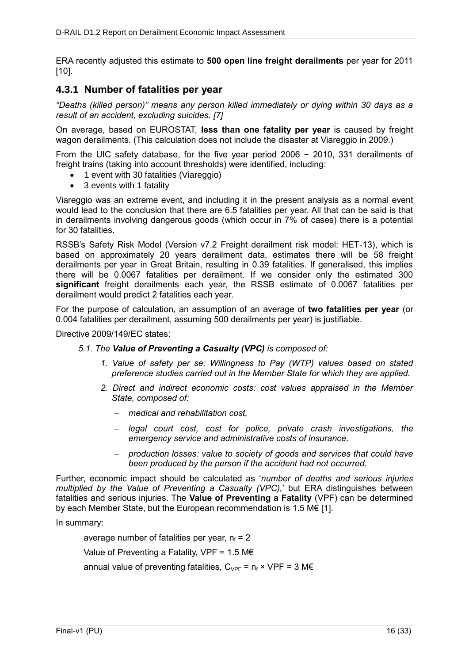ERA recently adjusted this estimate to **500 open line freight derailments** per year for 2011 [10].

### **4.3.1 Number of fatalities per year**

*"Deaths (killed person)" means any person killed immediately or dying within 30 days as a result of an accident, excluding suicides. [7]*

On average, based on EUROSTAT, **less than one fatality per year** is caused by freight wagon derailments. (This calculation does not include the disaster at Viareggio in 2009.)

From the UIC safety database, for the five year period 2006 − 2010, 331 derailments of freight trains (taking into account thresholds) were identified, including:

- 1 event with 30 fatalities (Viareggio)
- 3 events with 1 fatality

Viareggio was an extreme event, and including it in the present analysis as a normal event would lead to the conclusion that there are 6.5 fatalities per year. All that can be said is that in derailments involving dangerous goods (which occur in 7% of cases) there is a potential for 30 fatalities.

RSSB's Safety Risk Model (Version v7.2 Freight derailment risk model: HET-13), which is based on approximately 20 years derailment data, estimates there will be 58 freight derailments per year in Great Britain, resulting in 0.39 fatalities. If generalised, this implies there will be 0.0067 fatalities per derailment. If we consider only the estimated 300 **significant** freight derailments each year, the RSSB estimate of 0.0067 fatalities per derailment would predict 2 fatalities each year.

For the purpose of calculation, an assumption of an average of **two fatalities per year** (or 0.004 fatalities per derailment, assuming 500 derailments per year) is justifiable.

Directive 2009/149/EC states:

#### *5.1. The Value of Preventing a Casualty (VPC) is composed of:*

- *1. Value of safety per se: Willingness to Pay (WTP) values based on stated preference studies carried out in the Member State for which they are applied.*
- *2. Direct and indirect economic costs: cost values appraised in the Member State, composed of:*
	- *medical and rehabilitation cost,*
	- *legal court cost, cost for police, private crash investigations, the emergency service and administrative costs of insurance,*
	- *production losses: value to society of goods and services that could have been produced by the person if the accident had not occurred.*

Further, economic impact should be calculated as '*number of deaths and serious injuries multiplied by the Value of Preventing a Casualty (VPC),*' but ERA distinguishes between fatalities and serious injuries. The **Value of Preventing a Fatality** (VPF) can be determined by each Member State, but the European recommendation is 1.5 M€ [1].

In summary:

average number of fatalities per year,  $n_f = 2$ 

Value of Preventing a Fatality, VPF =  $1.5 \text{ M} \in$ 

annual value of preventing fatalities,  $C_{VPF} = n_f \times VPF = 3$  M $\epsilon$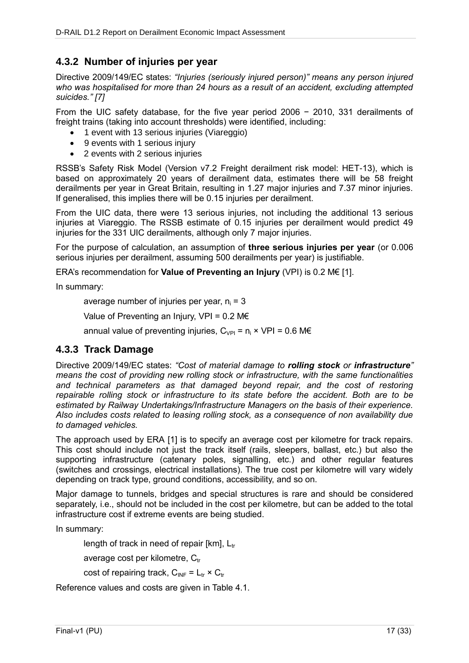### **4.3.2 Number of injuries per year**

Directive 2009/149/EC states: *"Injuries (seriously injured person)" means any person injured who was hospitalised for more than 24 hours as a result of an accident, excluding attempted suicides." [7]*

From the UIC safety database, for the five year period 2006 − 2010, 331 derailments of freight trains (taking into account thresholds) were identified, including:

- 1 event with 13 serious injuries (Viareggio)
- 9 events with 1 serious injury
- 2 events with 2 serious injuries

RSSB's Safety Risk Model (Version v7.2 Freight derailment risk model: HET-13), which is based on approximately 20 years of derailment data, estimates there will be 58 freight derailments per year in Great Britain, resulting in 1.27 major injuries and 7.37 minor injuries. If generalised, this implies there will be 0.15 injuries per derailment.

From the UIC data, there were 13 serious injuries, not including the additional 13 serious injuries at Viareggio. The RSSB estimate of 0.15 injuries per derailment would predict 49 injuries for the 331 UIC derailments, although only 7 major injuries.

For the purpose of calculation, an assumption of **three serious injuries per year** (or 0.006 serious injuries per derailment, assuming 500 derailments per year) is justifiable.

ERA's recommendation for **Value of Preventing an Injury** (VPI) is 0.2 M€ [1].

In summary:

average number of injuries per year,  $n_i = 3$ 

Value of Preventing an Injury, VPI =  $0.2 \text{ M} \in$ 

annual value of preventing injuries,  $C_{VPI} = n_i \times VPI = 0.6 \text{ M} \in$ 

### **4.3.3 Track Damage**

Directive 2009/149/EC states: *"Cost of material damage to rolling stock or infrastructure" means the cost of providing new rolling stock or infrastructure, with the same functionalities*  and technical parameters as that damaged beyond repair, and the cost of restoring *repairable rolling stock or infrastructure to its state before the accident. Both are to be estimated by Railway Undertakings/Infrastructure Managers on the basis of their experience. Also includes costs related to leasing rolling stock, as a consequence of non availability due to damaged vehicles.*

The approach used by ERA [1] is to specify an average cost per kilometre for track repairs. This cost should include not just the track itself (rails, sleepers, ballast, etc.) but also the supporting infrastructure (catenary poles, signalling, etc.) and other regular features (switches and crossings, electrical installations). The true cost per kilometre will vary widely depending on track type, ground conditions, accessibility, and so on.

Major damage to tunnels, bridges and special structures is rare and should be considered separately, i.e., should not be included in the cost per kilometre, but can be added to the total infrastructure cost if extreme events are being studied.

In summary:

length of track in need of repair [km],  $L_{tr}$ 

average cost per kilometre,  $C_{tr}$ 

cost of repairing track,  $C_{\text{INF}} = L_{\text{tr}} \times C_{\text{tr}}$ 

Reference values and costs are given in [Table 4.1.](#page-14-0)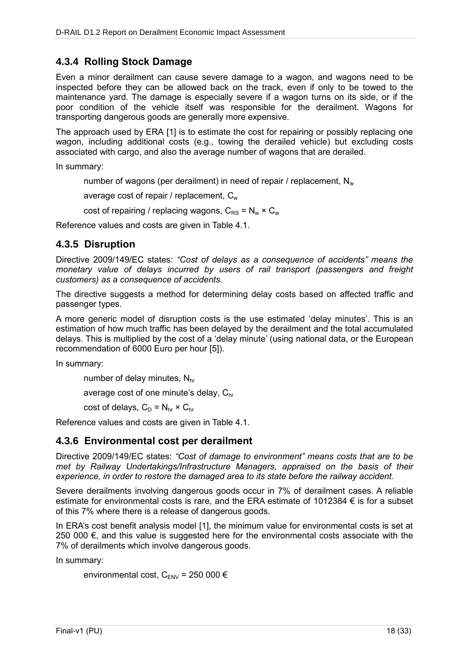### **4.3.4 Rolling Stock Damage**

Even a minor derailment can cause severe damage to a wagon, and wagons need to be inspected before they can be allowed back on the track, even if only to be towed to the maintenance yard. The damage is especially severe if a wagon turns on its side, or if the poor condition of the vehicle itself was responsible for the derailment. Wagons for transporting dangerous goods are generally more expensive.

The approach used by ERA [1] is to estimate the cost for repairing or possibly replacing one wagon, including additional costs (e.g., towing the derailed vehicle) but excluding costs associated with cargo, and also the average number of wagons that are derailed.

In summary:

number of wagons (per derailment) in need of repair / replacement,  $N_w$ 

average cost of repair / replacement,  $C_w$ 

cost of repairing / replacing wagons,  $C_{RS} = N_w \times C_w$ 

Reference values and costs are given in [Table 4.1.](#page-14-0)

### **4.3.5 Disruption**

Directive 2009/149/EC states: *"Cost of delays as a consequence of accidents" means the monetary value of delays incurred by users of rail transport (passengers and freight customers) as a consequence of accidents.*

The directive suggests a method for determining delay costs based on affected traffic and passenger types.

A more generic model of disruption costs is the use estimated 'delay minutes'. This is an estimation of how much traffic has been delayed by the derailment and the total accumulated delays. This is multiplied by the cost of a 'delay minute' (using national data, or the European recommendation of 6000 Euro per hour [5]).

In summary:

number of delay minutes,  $N_{hr}$ 

average cost of one minute's delay, C<sub>hr</sub>

cost of delays,  $C_D = N_{hr} \times C_{hr}$ 

Reference values and costs are given in [Table 4.1.](#page-14-0)

### **4.3.6 Environmental cost per derailment**

Directive 2009/149/EC states: *"Cost of damage to environment" means costs that are to be met by Railway Undertakings/Infrastructure Managers, appraised on the basis of their experience, in order to restore the damaged area to its state before the railway accident.*

Severe derailments involving dangerous goods occur in 7% of derailment cases. A reliable estimate for environmental costs is rare, and the ERA estimate of 1012384  $\epsilon$  is for a subset of this 7% where there is a release of dangerous goods.

In ERA's cost benefit analysis model [1], the minimum value for environmental costs is set at 250 000 €, and this value is suggested here for the environmental costs associate with the 7% of derailments which involve dangerous goods.

In summary:

```
environmental cost, C_{\text{ENV}} = 250 000 \epsilon
```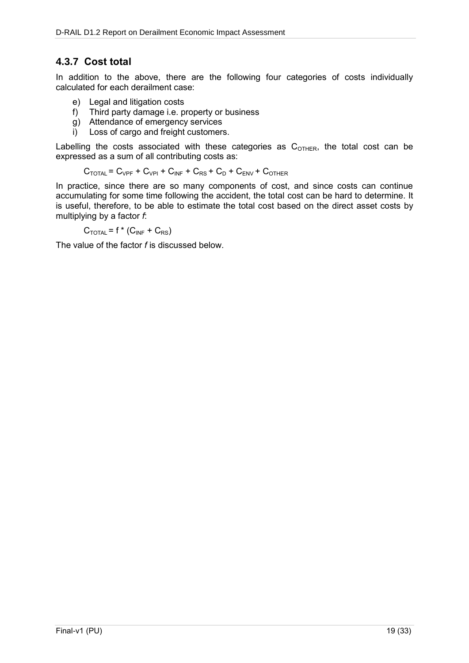### **4.3.7 Cost total**

In addition to the above, there are the following four categories of costs individually calculated for each derailment case:

- e) Legal and litigation costs
- f) Third party damage i.e. property or business
- g) Attendance of emergency services
- i) Loss of cargo and freight customers.

Labelling the costs associated with these categories as  $C_{\text{OTHFR}}$ , the total cost can be expressed as a sum of all contributing costs as:

$$
C_{\text{TOTAL}} = C_{\text{VPF}} + C_{\text{VPI}} + C_{\text{INF}} + C_{\text{RS}} + C_{\text{D}} + C_{\text{ENV}} + C_{\text{OTHER}}
$$

In practice, since there are so many components of cost, and since costs can continue accumulating for some time following the accident, the total cost can be hard to determine. It is useful, therefore, to be able to estimate the total cost based on the direct asset costs by multiplying by a factor *f*:

 $C_{\text{TOTAL}}$  = f \* ( $C_{\text{INF}}$  +  $C_{\text{RS}}$ )

The value of the factor *f* is discussed below.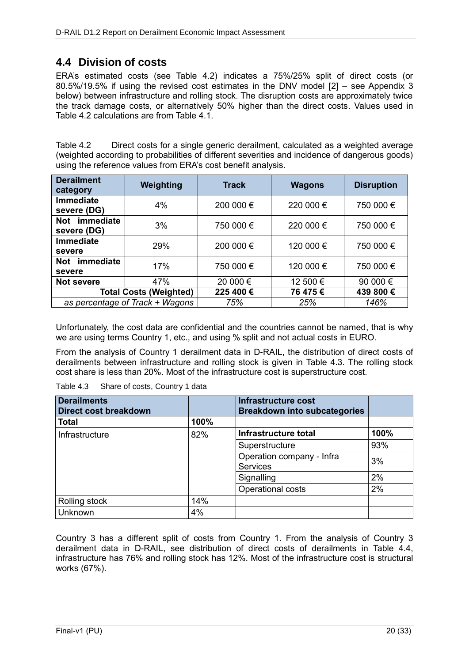### **4.4 Division of costs**

ERA's estimated costs (see [Table 4.2\)](#page-19-0) indicates a 75%/25% split of direct costs (or 80.5%/19.5% if using the revised cost estimates in the DNV model [2] – see Appendix 3 below) between infrastructure and rolling stock. The disruption costs are approximately twice the track damage costs, or alternatively 50% higher than the direct costs. Values used in [Table 4.2](#page-19-0) calculations are from [Table 4.1.](#page-14-0)

<span id="page-19-0"></span>Table 4.2 Direct costs for a single generic derailment, calculated as a weighted average (weighted according to probabilities of different severities and incidence of dangerous goods) using the reference values from ERA's cost benefit analysis.

| <b>Derailment</b><br>category     | Weighting                       | <b>Track</b> | <b>Wagons</b> | <b>Disruption</b> |
|-----------------------------------|---------------------------------|--------------|---------------|-------------------|
| <b>Immediate</b><br>severe (DG)   | 4%                              | 200 000 €    | 220 000 €     | 750 000 €         |
| Not immediate<br>severe (DG)      | 3%                              | 750 000 €    | 220 000 €     | 750 000 €         |
| <b>Immediate</b><br>severe        | 29%                             | 200 000 €    | 120 000 €     | 750 000 €         |
| <i>immediate</i><br>Not<br>severe | 17%                             | 750 000 €    | 120 000 €     | 750 000 €         |
| <b>Not severe</b>                 | 47%                             | 20 000 €     | 12 500 €      | 90 000 €          |
|                                   | <b>Total Costs (Weighted)</b>   | 225 400 €    | 76 475 €      | 439 800 €         |
|                                   | as percentage of Track + Wagons | 75%          | 25%           | 146%              |

Unfortunately, the cost data are confidential and the countries cannot be named, that is why we are using terms Country 1, etc., and using % split and not actual costs in EURO.

From the analysis of Country 1 derailment data in D-RAIL, the distribution of direct costs of derailments between infrastructure and rolling stock is given in [Table 4.3.](#page-19-1) The rolling stock cost share is less than 20%. Most of the infrastructure cost is superstructure cost.

<span id="page-19-1"></span>

| Table 4.3 | Share of costs, Country 1 data |
|-----------|--------------------------------|
|-----------|--------------------------------|

| <b>Derailments</b><br><b>Direct cost breakdown</b> |      | <b>Infrastructure cost</b><br><b>Breakdown into subcategories</b> |      |
|----------------------------------------------------|------|-------------------------------------------------------------------|------|
| <b>Total</b>                                       | 100% |                                                                   |      |
| Infrastructure                                     | 82%  | Infrastructure total                                              | 100% |
|                                                    |      | Superstructure                                                    | 93%  |
|                                                    |      | Operation company - Infra<br><b>Services</b>                      | 3%   |
|                                                    |      | Signalling                                                        | 2%   |
|                                                    |      | Operational costs                                                 | 2%   |
| Rolling stock                                      | 14%  |                                                                   |      |
| Unknown                                            | 4%   |                                                                   |      |

Country 3 has a different split of costs from Country 1. From the analysis of Country 3 derailment data in D-RAIL, see distribution of direct costs of derailments in [Table 4.4,](#page-20-0) infrastructure has 76% and rolling stock has 12%. Most of the infrastructure cost is structural works (67%).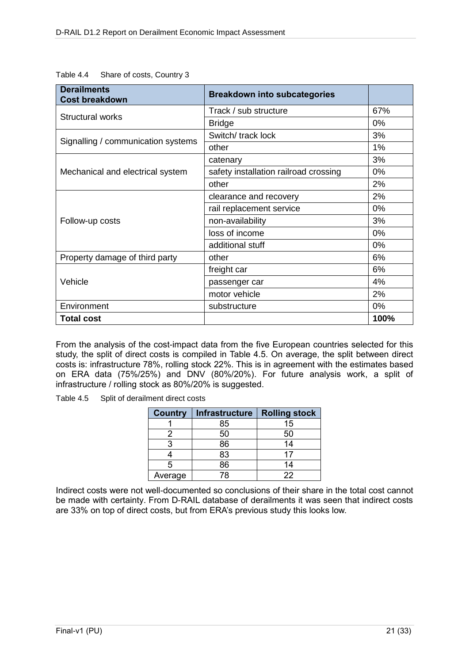| <b>Derailments</b><br><b>Cost breakdown</b> | <b>Breakdown into subcategories</b>   |       |
|---------------------------------------------|---------------------------------------|-------|
|                                             | Track / sub structure                 | 67%   |
| Structural works                            | <b>Bridge</b>                         | $0\%$ |
|                                             | Switch/ track lock                    | 3%    |
| Signalling / communication systems          | other                                 | 1%    |
|                                             | catenary                              | 3%    |
| Mechanical and electrical system            | safety installation railroad crossing | 0%    |
|                                             | other                                 | 2%    |
|                                             | clearance and recovery                | 2%    |
|                                             | rail replacement service              | 0%    |
| Follow-up costs                             | non-availability                      | 3%    |
|                                             | loss of income                        | 0%    |
|                                             | additional stuff                      | 0%    |
| Property damage of third party              | other                                 | 6%    |
|                                             | freight car                           | 6%    |
| Vehicle                                     | passenger car                         | 4%    |
|                                             | motor vehicle                         | 2%    |
| Environment                                 | substructure                          | 0%    |
| <b>Total cost</b>                           |                                       | 100%  |

<span id="page-20-0"></span>Table 4.4 Share of costs, Country 3

From the analysis of the cost-impact data from the five European countries selected for this study, the split of direct costs is compiled in [Table 4.5.](#page-20-1) On average, the split between direct costs is: infrastructure 78%, rolling stock 22%. This is in agreement with the estimates based on ERA data (75%/25%) and DNV (80%/20%). For future analysis work, a split of infrastructure / rolling stock as 80%/20% is suggested.

<span id="page-20-1"></span>Table 4.5 Split of derailment direct costs

| <b>Country</b> | <b>Infrastructure</b> | <b>Rolling stock</b> |
|----------------|-----------------------|----------------------|
|                | 85                    | 15                   |
|                | 50                    | 50                   |
|                | 86                    | 14                   |
|                | 83                    | 17                   |
|                | 86                    | 14                   |
| Average        | 78                    | 22                   |

Indirect costs were not well-documented so conclusions of their share in the total cost cannot be made with certainty. From D-RAIL database of derailments it was seen that indirect costs are 33% on top of direct costs, but from ERA's previous study this looks low.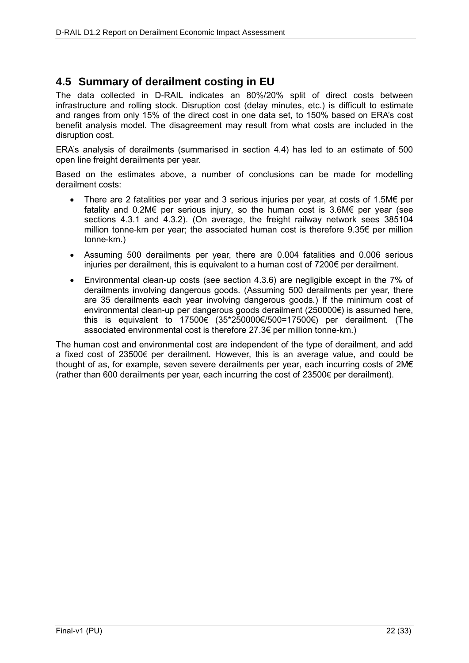### **4.5 Summary of derailment costing in EU**

The data collected in D-RAIL indicates an 80%/20% split of direct costs between infrastructure and rolling stock. Disruption cost (delay minutes, etc.) is difficult to estimate and ranges from only 15% of the direct cost in one data set, to 150% based on ERA's cost benefit analysis model. The disagreement may result from what costs are included in the disruption cost.

ERA's analysis of derailments (summarised in section 4.4) has led to an estimate of 500 open line freight derailments per year.

Based on the estimates above, a number of conclusions can be made for modelling derailment costs:

- There are 2 fatalities per year and 3 serious injuries per year, at costs of 1.5M€ per fatality and 0.2M€ per serious injury, so the human cost is 3.6M€ per year (see sections 4.3.1 and 4.3.2). (On average, the freight railway network sees 385104 million tonne-km per year; the associated human cost is therefore  $9.35 $\epsilon$  per million$ tonne-km.)
- Assuming 500 derailments per year, there are 0.004 fatalities and 0.006 serious injuries per derailment, this is equivalent to a human cost of 7200€ per derailment.
- Environmental clean-up costs (see section 4.3.6) are negligible except in the 7% of derailments involving dangerous goods. (Assuming 500 derailments per year, there are 35 derailments each year involving dangerous goods.) If the minimum cost of environmental clean-up per dangerous goods derailment (250000€) is assumed here, this is equivalent to 17500€ (35\*250000€/500=17500€) per derailment. (The associated environmental cost is therefore 27.3€ per million tonne-km.)

The human cost and environmental cost are independent of the type of derailment, and add a fixed cost of 23500€ per derailment. However, this is an average value, and could be thought of as, for example, seven severe derailments per year, each incurring costs of 2M€ (rather than 600 derailments per year, each incurring the cost of 23500€ per derailment).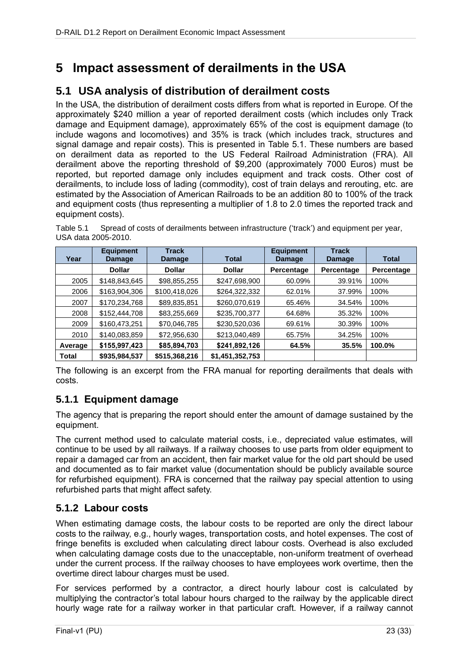# **5 Impact assessment of derailments in the USA**

### **5.1 USA analysis of distribution of derailment costs**

In the USA, the distribution of derailment costs differs from what is reported in Europe. Of the approximately \$240 million a year of reported derailment costs (which includes only Track damage and Equipment damage), approximately 65% of the cost is equipment damage (to include wagons and locomotives) and 35% is track (which includes track, structures and signal damage and repair costs). This is presented in [Table 5.1.](#page-22-0) These numbers are based on derailment data as reported to the US Federal Railroad Administration (FRA). All derailment above the reporting threshold of \$9,200 (approximately 7000 Euros) must be reported, but reported damage only includes equipment and track costs. Other cost of derailments, to include loss of lading (commodity), cost of train delays and rerouting, etc. are estimated by the Association of American Railroads to be an addition 80 to 100% of the track and equipment costs (thus representing a multiplier of 1.8 to 2.0 times the reported track and equipment costs).

| Year    | <b>Equipment</b><br>Damage | <b>Track</b><br>Damage | <b>Total</b>    | <b>Equipment</b><br>Damage | <b>Track</b><br>Damage | <b>Total</b> |
|---------|----------------------------|------------------------|-----------------|----------------------------|------------------------|--------------|
|         | <b>Dollar</b>              | <b>Dollar</b>          | <b>Dollar</b>   | Percentage                 | Percentage             | Percentage   |
| 2005    | \$148,843,645              | \$98,855,255           | \$247,698,900   | 60.09%                     | 39.91%                 | 100%         |
| 2006    | \$163,904,306              | \$100,418,026          | \$264,322,332   | 62.01%                     | 37.99%                 | 100%         |
| 2007    | \$170,234,768              | \$89,835,851           | \$260,070,619   | 65.46%                     | 34.54%                 | 100%         |
| 2008    | \$152,444,708              | \$83,255,669           | \$235,700,377   | 64.68%                     | 35.32%                 | 100%         |
| 2009    | \$160,473,251              | \$70,046,785           | \$230,520,036   | 69.61%                     | 30.39%                 | 100%         |
| 2010    | \$140,083,859              | \$72,956,630           | \$213,040,489   | 65.75%                     | 34.25%                 | 100%         |
| Average | \$155,997,423              | \$85,894,703           | \$241,892,126   | 64.5%                      | 35.5%                  | 100.0%       |
| Total   | \$935,984,537              | \$515,368,216          | \$1,451,352,753 |                            |                        |              |

<span id="page-22-0"></span>Table 5.1 Spread of costs of derailments between infrastructure ('track') and equipment per year, USA data 2005-2010.

The following is an excerpt from the FRA manual for reporting derailments that deals with costs.

### **5.1.1 Equipment damage**

The agency that is preparing the report should enter the amount of damage sustained by the equipment.

The current method used to calculate material costs, i.e., depreciated value estimates, will continue to be used by all railways. If a railway chooses to use parts from older equipment to repair a damaged car from an accident, then fair market value for the old part should be used and documented as to fair market value (documentation should be publicly available source for refurbished equipment). FRA is concerned that the railway pay special attention to using refurbished parts that might affect safety.

### **5.1.2 Labour costs**

When estimating damage costs, the labour costs to be reported are only the direct labour costs to the railway, e.g., hourly wages, transportation costs, and hotel expenses. The cost of fringe benefits is excluded when calculating direct labour costs. Overhead is also excluded when calculating damage costs due to the unacceptable, non-uniform treatment of overhead under the current process. If the railway chooses to have employees work overtime, then the overtime direct labour charges must be used.

For services performed by a contractor, a direct hourly labour cost is calculated by multiplying the contractor's total labour hours charged to the railway by the applicable direct hourly wage rate for a railway worker in that particular craft. However, if a railway cannot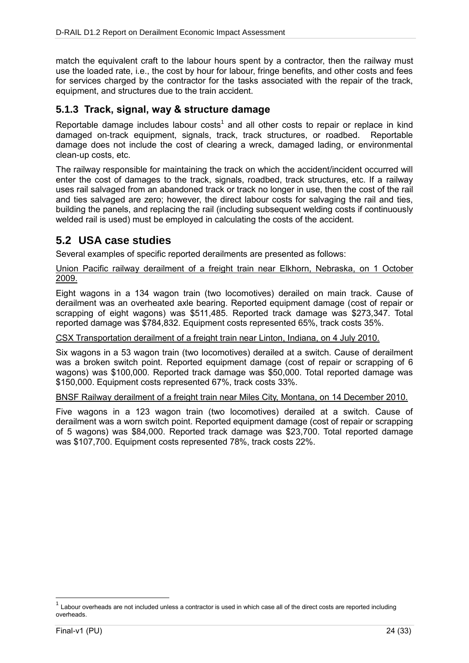match the equivalent craft to the labour hours spent by a contractor, then the railway must use the loaded rate, i.e., the cost by hour for labour, fringe benefits, and other costs and fees for services charged by the contractor for the tasks associated with the repair of the track, equipment, and structures due to the train accident.

### **5.1.3 Track, signal, way & structure damage**

Reportable damage includes labour costs<sup>1</sup> and all other costs to repair or replace in kind damaged on-track equipment, signals, track, track structures, or roadbed. Reportable damage does not include the cost of clearing a wreck, damaged lading, or environmental clean-up costs, etc.

The railway responsible for maintaining the track on which the accident/incident occurred will enter the cost of damages to the track, signals, roadbed, track structures, etc. If a railway uses rail salvaged from an abandoned track or track no longer in use, then the cost of the rail and ties salvaged are zero; however, the direct labour costs for salvaging the rail and ties, building the panels, and replacing the rail (including subsequent welding costs if continuously welded rail is used) must be employed in calculating the costs of the accident.

### **5.2 USA case studies**

Several examples of specific reported derailments are presented as follows:

#### Union Pacific railway derailment of a freight train near Elkhorn, Nebraska, on 1 October 2009.

Eight wagons in a 134 wagon train (two locomotives) derailed on main track. Cause of derailment was an overheated axle bearing. Reported equipment damage (cost of repair or scrapping of eight wagons) was \$511,485. Reported track damage was \$273,347. Total reported damage was \$784,832. Equipment costs represented 65%, track costs 35%.

#### CSX Transportation derailment of a freight train near Linton, Indiana, on 4 July 2010.

Six wagons in a 53 wagon train (two locomotives) derailed at a switch. Cause of derailment was a broken switch point. Reported equipment damage (cost of repair or scrapping of 6 wagons) was \$100,000. Reported track damage was \$50,000. Total reported damage was \$150,000. Equipment costs represented 67%, track costs 33%.

#### BNSF Railway derailment of a freight train near Miles City, Montana, on 14 December 2010.

Five wagons in a 123 wagon train (two locomotives) derailed at a switch. Cause of derailment was a worn switch point. Reported equipment damage (cost of repair or scrapping of 5 wagons) was \$84,000. Reported track damage was \$23,700. Total reported damage was \$107,700. Equipment costs represented 78%, track costs 22%.

 $\overline{a}$ 

 $1$  Labour overheads are not included unless a contractor is used in which case all of the direct costs are reported including overheads.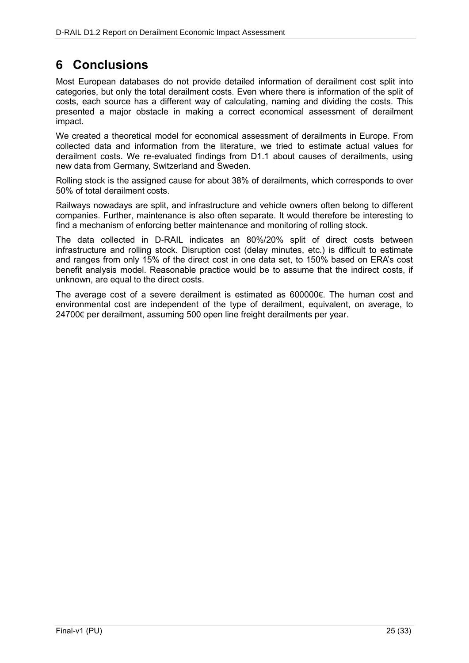# **6 Conclusions**

Most European databases do not provide detailed information of derailment cost split into categories, but only the total derailment costs. Even where there is information of the split of costs, each source has a different way of calculating, naming and dividing the costs. This presented a major obstacle in making a correct economical assessment of derailment impact.

We created a theoretical model for economical assessment of derailments in Europe. From collected data and information from the literature, we tried to estimate actual values for derailment costs. We re-evaluated findings from D1.1 about causes of derailments, using new data from Germany, Switzerland and Sweden.

Rolling stock is the assigned cause for about 38% of derailments, which corresponds to over 50% of total derailment costs.

Railways nowadays are split, and infrastructure and vehicle owners often belong to different companies. Further, maintenance is also often separate. It would therefore be interesting to find a mechanism of enforcing better maintenance and monitoring of rolling stock.

The data collected in D-RAIL indicates an 80%/20% split of direct costs between infrastructure and rolling stock. Disruption cost (delay minutes, etc.) is difficult to estimate and ranges from only 15% of the direct cost in one data set, to 150% based on ERA's cost benefit analysis model. Reasonable practice would be to assume that the indirect costs, if unknown, are equal to the direct costs.

The average cost of a severe derailment is estimated as 600000€. The human cost and environmental cost are independent of the type of derailment, equivalent, on average, to 24700€ per derailment, assuming 500 open line freight derailments per year.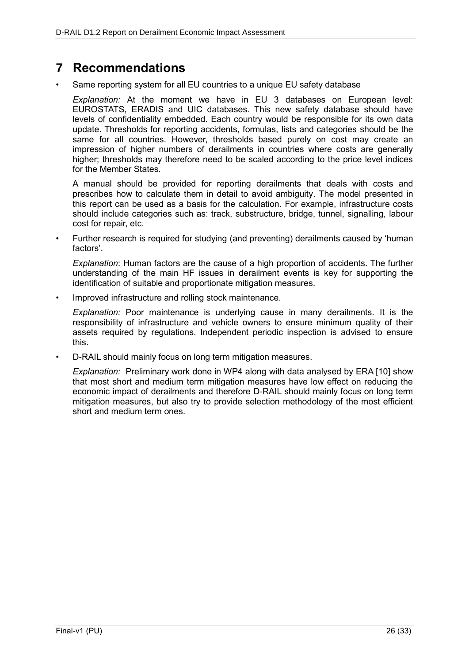## **7 Recommendations**

Same reporting system for all EU countries to a unique EU safety database

*Explanation:* At the moment we have in EU 3 databases on European level: EUROSTATS, ERADIS and UIC databases. This new safety database should have levels of confidentiality embedded. Each country would be responsible for its own data update. Thresholds for reporting accidents, formulas, lists and categories should be the same for all countries. However, thresholds based purely on cost may create an impression of higher numbers of derailments in countries where costs are generally higher; thresholds may therefore need to be scaled according to the price level indices for the Member States.

A manual should be provided for reporting derailments that deals with costs and prescribes how to calculate them in detail to avoid ambiguity. The model presented in this report can be used as a basis for the calculation. For example, infrastructure costs should include categories such as: track, substructure, bridge, tunnel, signalling, labour cost for repair, etc.

• Further research is required for studying (and preventing) derailments caused by 'human factors'.

*Explanation*: Human factors are the cause of a high proportion of accidents. The further understanding of the main HF issues in derailment events is key for supporting the identification of suitable and proportionate mitigation measures.

Improved infrastructure and rolling stock maintenance.

*Explanation:* Poor maintenance is underlying cause in many derailments. It is the responsibility of infrastructure and vehicle owners to ensure minimum quality of their assets required by regulations. Independent periodic inspection is advised to ensure this.

• D-RAIL should mainly focus on long term mitigation measures.

*Explanation:* Preliminary work done in WP4 along with data analysed by ERA [10] show that most short and medium term mitigation measures have low effect on reducing the economic impact of derailments and therefore D-RAIL should mainly focus on long term mitigation measures, but also try to provide selection methodology of the most efficient short and medium term ones.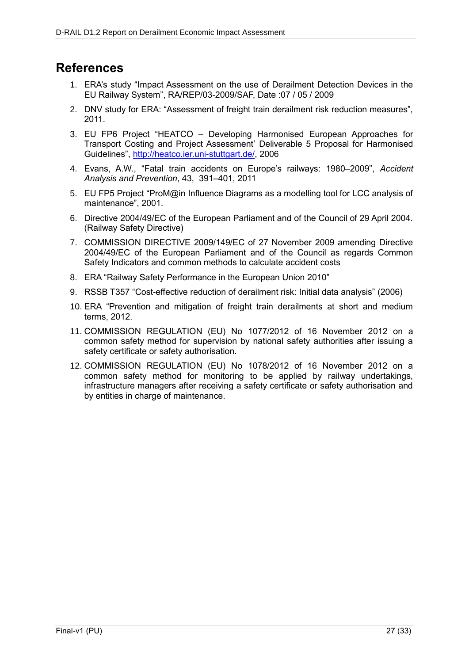## **References**

- 1. ERA's study "Impact Assessment on the use of Derailment Detection Devices in the EU Railway System", RA/REP/03-2009/SAF, Date :07 / 05 / 2009
- 2. DNV study for ERA: "Assessment of freight train derailment risk reduction measures", 2011.
- 3. EU FP6 Project "HEATCO Developing Harmonised European Approaches for Transport Costing and Project Assessment' Deliverable 5 Proposal for Harmonised Guidelines", [http://heatco.ier.uni-stuttgart.de/,](http://heatco.ier.uni-stuttgart.de/) 2006
- 4. Evans, A.W., "Fatal train accidents on Europe's railways: 1980–2009", *Accident Analysis and Prevention*, 43, 391–401, 2011
- 5. EU FP5 Project "ProM@in Influence Diagrams as a modelling tool for LCC analysis of maintenance", 2001.
- 6. Directive 2004/49/EC of the European Parliament and of the Council of 29 April 2004. (Railway Safety Directive)
- 7. COMMISSION DIRECTIVE 2009/149/EC of 27 November 2009 amending Directive 2004/49/EC of the European Parliament and of the Council as regards Common Safety Indicators and common methods to calculate accident costs
- 8. ERA "Railway Safety Performance in the European Union 2010"
- 9. RSSB T357 "Cost-effective reduction of derailment risk: Initial data analysis" (2006)
- 10. ERA "Prevention and mitigation of freight train derailments at short and medium terms, 2012.
- 11. COMMISSION REGULATION (EU) No 1077/2012 of 16 November 2012 on a common safety method for supervision by national safety authorities after issuing a safety certificate or safety authorisation.
- 12. COMMISSION REGULATION (EU) No 1078/2012 of 16 November 2012 on a common safety method for monitoring to be applied by railway undertakings, infrastructure managers after receiving a safety certificate or safety authorisation and by entities in charge of maintenance.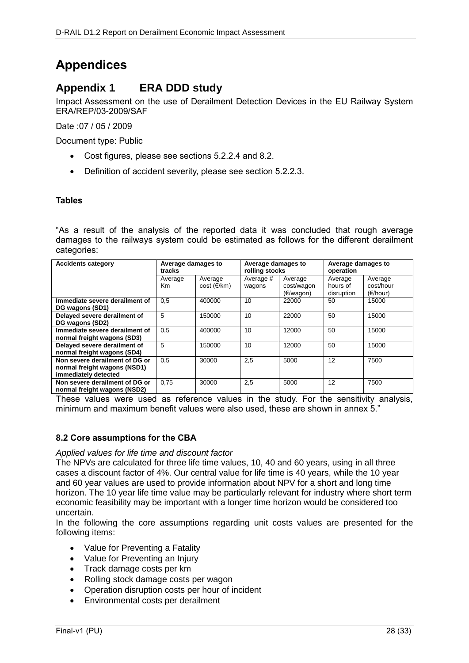# **Appendices**

### **Appendix 1 ERA DDD study**

Impact Assessment on the use of Derailment Detection Devices in the EU Railway System ERA/REP/03-2009/SAF

Date :07 / 05 / 2009

Document type: Public

- Cost figures, please see sections 5.2.2.4 and 8.2.
- Definition of accident severity, please see section 5.2.2.3.

#### **Tables**

"As a result of the analysis of the reported data it was concluded that rough average damages to the railways system could be estimated as follows for the different derailment categories:

| <b>Accidents category</b>      | Average damages to |                                        | Average damages to  |                                    | Average damages to                |                                           |
|--------------------------------|--------------------|----------------------------------------|---------------------|------------------------------------|-----------------------------------|-------------------------------------------|
|                                | tracks             |                                        | rolling stocks      |                                    | operation                         |                                           |
|                                | Average<br>Km      | Average<br>$cost$ ( $\varepsilon$ /km) | Average #<br>wagons | Average<br>cost/wagon<br>(E/wagon) | Average<br>hours of<br>disruption | Average<br>cost/hour<br>$(\epsilon/hour)$ |
| Immediate severe derailment of | 0.5                | 400000                                 | 10                  | 22000                              | 50                                | 15000                                     |
| DG wagons (SD1)                |                    |                                        |                     |                                    |                                   |                                           |
| Delayed severe derailment of   | 5                  | 150000                                 | 10                  | 22000                              | 50                                | 15000                                     |
| DG wagons (SD2)                |                    |                                        |                     |                                    |                                   |                                           |
| Immediate severe derailment of | 0.5                | 400000                                 | 10                  | 12000                              | 50                                | 15000                                     |
| normal freight wagons (SD3)    |                    |                                        |                     |                                    |                                   |                                           |
| Delayed severe derailment of   | 5                  | 150000                                 | 10                  | 12000                              | 50                                | 15000                                     |
| normal freight wagons (SD4)    |                    |                                        |                     |                                    |                                   |                                           |
| Non severe derailment of DG or | 0.5                | 30000                                  | 2,5                 | 5000                               | 12                                | 7500                                      |
| normal freight wagons (NSD1)   |                    |                                        |                     |                                    |                                   |                                           |
| immediately detected           |                    |                                        |                     |                                    |                                   |                                           |
| Non severe derailment of DG or | 0.75               | 30000                                  | 2,5                 | 5000                               | 12                                | 7500                                      |
| normal freight wagons (NSD2)   |                    |                                        |                     |                                    |                                   |                                           |

These values were used as reference values in the study. For the sensitivity analysis, minimum and maximum benefit values were also used, these are shown in annex 5."

#### **8.2 Core assumptions for the CBA**

#### *Applied values for life time and discount factor*

The NPVs are calculated for three life time values, 10, 40 and 60 years, using in all three cases a discount factor of 4%. Our central value for life time is 40 years, while the 10 year and 60 year values are used to provide information about NPV for a short and long time horizon. The 10 year life time value may be particularly relevant for industry where short term economic feasibility may be important with a longer time horizon would be considered too uncertain.

In the following the core assumptions regarding unit costs values are presented for the following items:

- Value for Preventing a Fatality
- Value for Preventing an Injury
- Track damage costs per km
- Rolling stock damage costs per wagon
- Operation disruption costs per hour of incident
- Environmental costs per derailment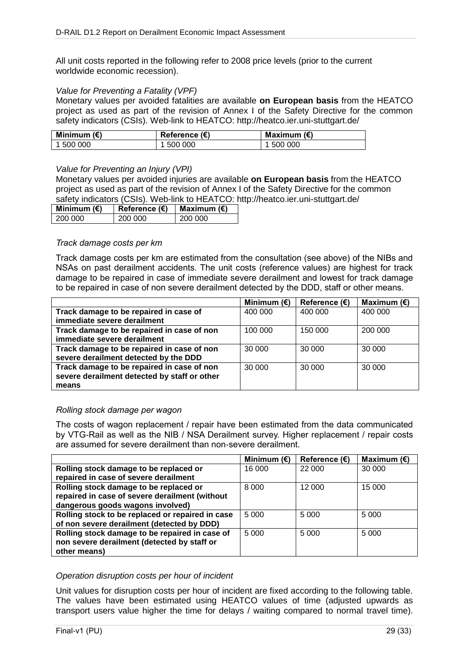All unit costs reported in the following refer to 2008 price levels (prior to the current worldwide economic recession).

#### *Value for Preventing a Fatality (VPF)*

Monetary values per avoided fatalities are available **on European basis** from the HEATCO project as used as part of the revision of Annex I of the Safety Directive for the common safety indicators (CSIs). Web-link to HEATCO: http://heatco.ier.uni-stuttgart.de/

| Minimum $(\epsilon)$ | Reference (€) | Maximum $(\epsilon)$ |
|----------------------|---------------|----------------------|
| 1 500 000            | -500 000      | 500 000              |

#### *Value for Preventing an Injury (VPI)*

Monetary values per avoided injuries are available **on European basis** from the HEATCO project as used as part of the revision of Annex I of the Safety Directive for the common safety indicators (CSIs). Web-link to HEATCO: http://heatco.ier.uni-stuttgart.de/

| Minimum $(\epsilon)$ | Reference $(E)$ | Maximum $(\epsilon)$ |
|----------------------|-----------------|----------------------|
| 200,000              | 200.000         | 200.000              |

#### *Track damage costs per km*

Track damage costs per km are estimated from the consultation (see above) of the NIBs and NSAs on past derailment accidents. The unit costs (reference values) are highest for track damage to be repaired in case of immediate severe derailment and lowest for track damage to be repaired in case of non severe derailment detected by the DDD, staff or other means.

|                                              | Minimum $(\epsilon)$ | Reference $(E)$ | Maximum $(E)$ |
|----------------------------------------------|----------------------|-----------------|---------------|
| Track damage to be repaired in case of       | 400 000              | 400 000         | 400 000       |
| immediate severe derailment                  |                      |                 |               |
| Track damage to be repaired in case of non   | 100 000              | 150 000         | 200 000       |
| immediate severe derailment                  |                      |                 |               |
| Track damage to be repaired in case of non   | 30 000               | 30 000          | 30 000        |
| severe derailment detected by the DDD        |                      |                 |               |
| Track damage to be repaired in case of non   | 30 000               | 30 000          | 30 000        |
| severe derailment detected by staff or other |                      |                 |               |
| means                                        |                      |                 |               |

#### *Rolling stock damage per wagon*

The costs of wagon replacement / repair have been estimated from the data communicated by VTG-Rail as well as the NIB / NSA Derailment survey. Higher replacement / repair costs are assumed for severe derailment than non-severe derailment.

|                                                  | Minimum $(E)$ | Reference $(E)$ | Maximum $(E)$ |
|--------------------------------------------------|---------------|-----------------|---------------|
| Rolling stock damage to be replaced or           | 16 000        | 22 000          | 30 000        |
| repaired in case of severe derailment            |               |                 |               |
| Rolling stock damage to be replaced or           | 8 0 0 0       | 12 000          | 15 000        |
| repaired in case of severe derailment (without   |               |                 |               |
| dangerous goods wagons involved)                 |               |                 |               |
| Rolling stock to be replaced or repaired in case | 5 0 0 0       | 5 0 0 0         | 5 0 0 0       |
| of non severe derailment (detected by DDD)       |               |                 |               |
| Rolling stock damage to be repaired in case of   | 5.000         | 5 0 0 0         | 5 0 0 0       |
| non severe derailment (detected by staff or      |               |                 |               |
| other means)                                     |               |                 |               |

#### *Operation disruption costs per hour of incident*

Unit values for disruption costs per hour of incident are fixed according to the following table. The values have been estimated using HEATCO values of time (adjusted upwards as transport users value higher the time for delays / waiting compared to normal travel time).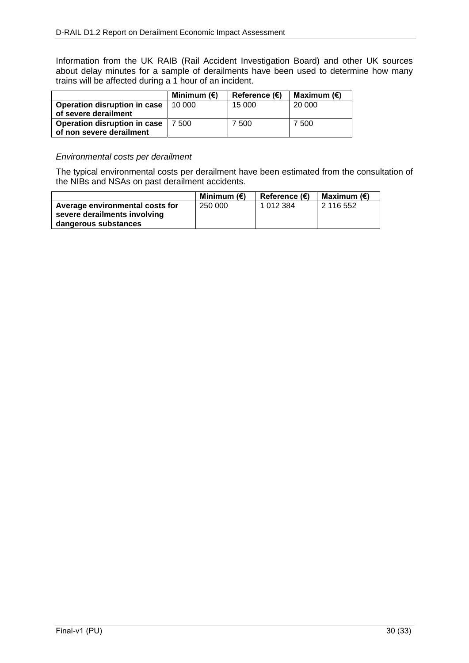Information from the UK RAIB (Rail Accident Investigation Board) and other UK sources about delay minutes for a sample of derailments have been used to determine how many trains will be affected during a 1 hour of an incident.

|                              | Minimum $(\epsilon)$ | Reference $(\epsilon)$ | Maximum $(\epsilon)$ |
|------------------------------|----------------------|------------------------|----------------------|
| Operation disruption in case | 10.000               | 15 000                 | 20 000               |
| of severe derailment         |                      |                        |                      |
| Operation disruption in case | 7 500                | 7 500                  | 7 500                |
| of non severe derailment     |                      |                        |                      |

#### *Environmental costs per derailment*

The typical environmental costs per derailment have been estimated from the consultation of the NIBs and NSAs on past derailment accidents.

|                                 | Minimum $(\epsilon)$ | <b>Reference (€)</b> | Maximum (€) |
|---------------------------------|----------------------|----------------------|-------------|
| Average environmental costs for | 250 000              | 1 012 384            | 2 116 552   |
| severe derailments involving    |                      |                      |             |
| dangerous substances            |                      |                      |             |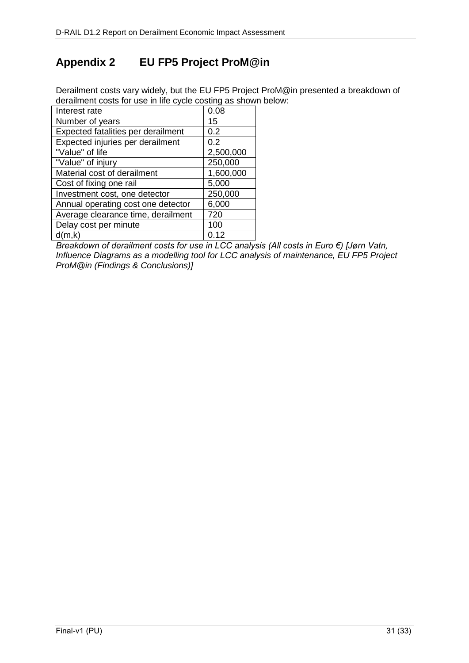## **Appendix 2 EU FP5 Project ProM@in**

Derailment costs vary widely, but the EU FP5 Project ProM@in presented a breakdown of derailment costs for use in life cycle costing as shown below:

| Interest rate                      | 0.08      |  |
|------------------------------------|-----------|--|
| Number of years                    | 15        |  |
| Expected fatalities per derailment | 0.2       |  |
| Expected injuries per derailment   | 0.2       |  |
| "Value" of life                    | 2,500,000 |  |
| "Value" of injury                  | 250,000   |  |
| Material cost of derailment        | 1,600,000 |  |
| Cost of fixing one rail            | 5,000     |  |
| Investment cost, one detector      | 250,000   |  |
| Annual operating cost one detector | 6,000     |  |
| Average clearance time, derailment | 720       |  |
| Delay cost per minute              | 100       |  |
| d(m,k)                             | 0.12      |  |

*Breakdown of derailment costs for use in LCC analysis (All costs in Euro €) [Jørn Vatn, Influence Diagrams as a modelling tool for LCC analysis of maintenance, EU FP5 Project ProM@in (Findings & Conclusions)]*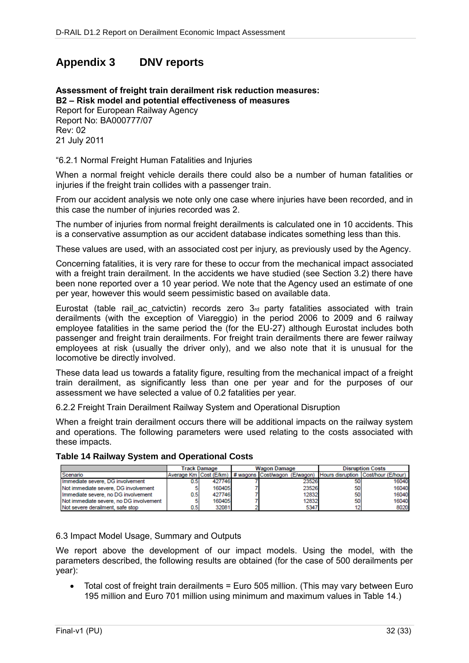### **Appendix 3 DNV reports**

**Assessment of freight train derailment risk reduction measures: B2 – Risk model and potential effectiveness of measures** Report for European Railway Agency Report No: BA000777/07 Rev: 02 21 July 2011

"6.2.1 Normal Freight Human Fatalities and Injuries

When a normal freight vehicle derails there could also be a number of human fatalities or injuries if the freight train collides with a passenger train.

From our accident analysis we note only one case where injuries have been recorded, and in this case the number of injuries recorded was 2.

The number of injuries from normal freight derailments is calculated one in 10 accidents. This is a conservative assumption as our accident database indicates something less than this.

These values are used, with an associated cost per injury, as previously used by the Agency.

Concerning fatalities, it is very rare for these to occur from the mechanical impact associated with a freight train derailment. In the accidents we have studied (see Section 3.2) there have been none reported over a 10 year period. We note that the Agency used an estimate of one per year, however this would seem pessimistic based on available data.

Eurostat (table rail ac catvictin) records zero  $3<sub>rd</sub>$  party fatalities associated with train derailments (with the exception of Viareggio) in the period 2006 to 2009 and 6 railway employee fatalities in the same period the (for the EU-27) although Eurostat includes both passenger and freight train derailments. For freight train derailments there are fewer railway employees at risk (usually the driver only), and we also note that it is unusual for the locomotive be directly involved.

These data lead us towards a fatality figure, resulting from the mechanical impact of a freight train derailment, as significantly less than one per year and for the purposes of our assessment we have selected a value of 0.2 fatalities per year.

6.2.2 Freight Train Derailment Railway System and Operational Disruption

When a freight train derailment occurs there will be additional impacts on the railway system and operations. The following parameters were used relating to the costs associated with these impacts.

#### **Table 14 Railway System and Operational Costs**

|                                         | Track Damage |        | <b>Wagon Damage</b> |  |       | <b>Disruption Costs</b> |                                                                                            |
|-----------------------------------------|--------------|--------|---------------------|--|-------|-------------------------|--------------------------------------------------------------------------------------------|
| Scenario                                |              |        |                     |  |       |                         | Average Km Cost (E/km)   # wagons Cost/wagon (E/wagon) Hours disruption Cost/hour (E/hour) |
| Immediate severe, DG involvement        |              | 427746 |                     |  | 23526 | 50                      | 16040                                                                                      |
| Not immediate severe. DG involvement    |              | 160405 |                     |  | 23526 | 50                      | 16040                                                                                      |
| Immediate severe, no DG involvement     | 0.51         | 427746 |                     |  | 12832 | 50                      | 16040                                                                                      |
| Not immediate severe, no DG involvement |              | 160405 |                     |  | 12832 | 50                      | 16040                                                                                      |
| Not severe derailment, safe stop        | 0.5          | 32081  |                     |  | 5347  | 12                      | 8020                                                                                       |

6.3 Impact Model Usage, Summary and Outputs

We report above the development of our impact models. Using the model, with the parameters described, the following results are obtained (for the case of 500 derailments per year):

 Total cost of freight train derailments = Euro 505 million. (This may vary between Euro 195 million and Euro 701 million using minimum and maximum values in Table 14.)